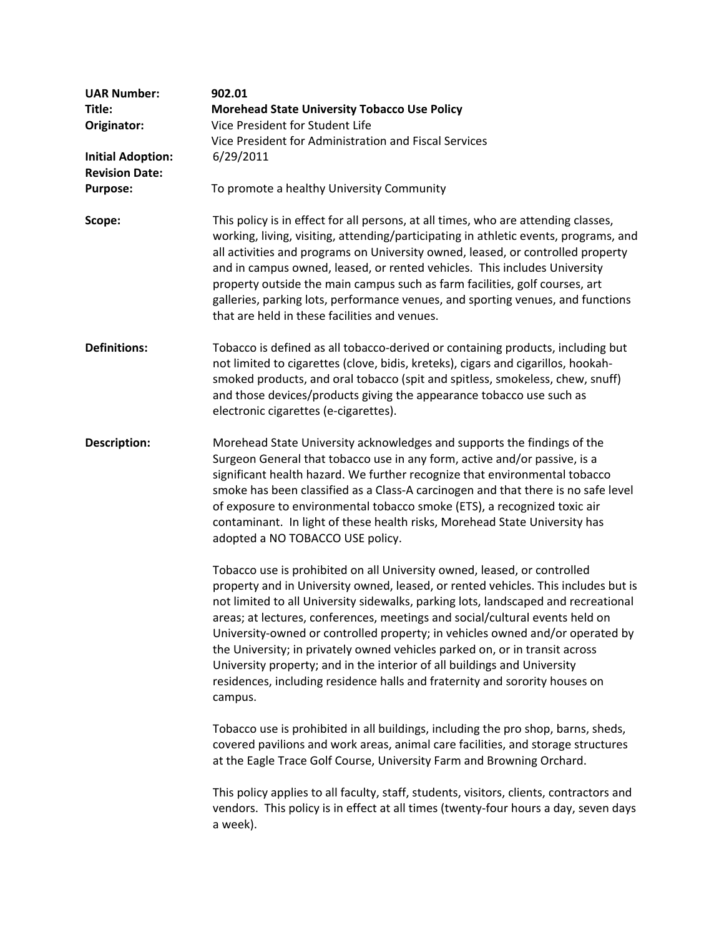| <b>UAR Number:</b>       | 902.01                                                                                                                                                                                                                                                                                                                                                                                                                                                                                                                                                                                                                                                                     |
|--------------------------|----------------------------------------------------------------------------------------------------------------------------------------------------------------------------------------------------------------------------------------------------------------------------------------------------------------------------------------------------------------------------------------------------------------------------------------------------------------------------------------------------------------------------------------------------------------------------------------------------------------------------------------------------------------------------|
| Title:                   | <b>Morehead State University Tobacco Use Policy</b>                                                                                                                                                                                                                                                                                                                                                                                                                                                                                                                                                                                                                        |
| Originator:              | Vice President for Student Life                                                                                                                                                                                                                                                                                                                                                                                                                                                                                                                                                                                                                                            |
|                          | Vice President for Administration and Fiscal Services                                                                                                                                                                                                                                                                                                                                                                                                                                                                                                                                                                                                                      |
| <b>Initial Adoption:</b> | 6/29/2011                                                                                                                                                                                                                                                                                                                                                                                                                                                                                                                                                                                                                                                                  |
| <b>Revision Date:</b>    |                                                                                                                                                                                                                                                                                                                                                                                                                                                                                                                                                                                                                                                                            |
| <b>Purpose:</b>          | To promote a healthy University Community                                                                                                                                                                                                                                                                                                                                                                                                                                                                                                                                                                                                                                  |
|                          |                                                                                                                                                                                                                                                                                                                                                                                                                                                                                                                                                                                                                                                                            |
| Scope:                   | This policy is in effect for all persons, at all times, who are attending classes,<br>working, living, visiting, attending/participating in athletic events, programs, and<br>all activities and programs on University owned, leased, or controlled property<br>and in campus owned, leased, or rented vehicles. This includes University<br>property outside the main campus such as farm facilities, golf courses, art<br>galleries, parking lots, performance venues, and sporting venues, and functions<br>that are held in these facilities and venues.                                                                                                              |
| <b>Definitions:</b>      | Tobacco is defined as all tobacco-derived or containing products, including but<br>not limited to cigarettes (clove, bidis, kreteks), cigars and cigarillos, hookah-<br>smoked products, and oral tobacco (spit and spitless, smokeless, chew, snuff)<br>and those devices/products giving the appearance tobacco use such as<br>electronic cigarettes (e-cigarettes).                                                                                                                                                                                                                                                                                                     |
| <b>Description:</b>      | Morehead State University acknowledges and supports the findings of the<br>Surgeon General that tobacco use in any form, active and/or passive, is a<br>significant health hazard. We further recognize that environmental tobacco<br>smoke has been classified as a Class-A carcinogen and that there is no safe level<br>of exposure to environmental tobacco smoke (ETS), a recognized toxic air<br>contaminant. In light of these health risks, Morehead State University has<br>adopted a NO TOBACCO USE policy.                                                                                                                                                      |
|                          | Tobacco use is prohibited on all University owned, leased, or controlled<br>property and in University owned, leased, or rented vehicles. This includes but is<br>not limited to all University sidewalks, parking lots, landscaped and recreational<br>areas; at lectures, conferences, meetings and social/cultural events held on<br>University-owned or controlled property; in vehicles owned and/or operated by<br>the University; in privately owned vehicles parked on, or in transit across<br>University property; and in the interior of all buildings and University<br>residences, including residence halls and fraternity and sorority houses on<br>campus. |
|                          | Tobacco use is prohibited in all buildings, including the pro shop, barns, sheds,<br>covered pavilions and work areas, animal care facilities, and storage structures<br>at the Eagle Trace Golf Course, University Farm and Browning Orchard.                                                                                                                                                                                                                                                                                                                                                                                                                             |
|                          | This policy applies to all faculty, staff, students, visitors, clients, contractors and<br>vendors. This policy is in effect at all times (twenty-four hours a day, seven days<br>a week).                                                                                                                                                                                                                                                                                                                                                                                                                                                                                 |
|                          |                                                                                                                                                                                                                                                                                                                                                                                                                                                                                                                                                                                                                                                                            |